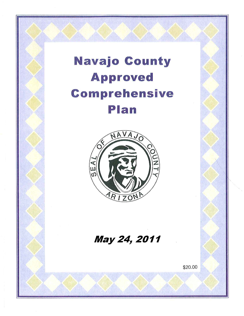# Navajo County Approved Comprehensive Plan

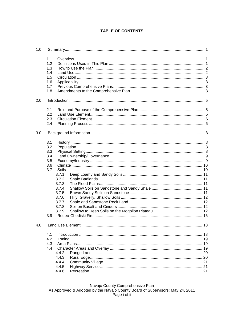# **TABLE OF CONTENTS**

| 1.0 |     |       |  |
|-----|-----|-------|--|
|     | 1.1 |       |  |
|     | 1.2 |       |  |
|     | 1.3 |       |  |
|     | 1.4 |       |  |
|     | 1.5 |       |  |
|     | 1.6 |       |  |
|     | 1.7 |       |  |
|     | 1.8 |       |  |
| 2.0 |     |       |  |
|     |     |       |  |
|     | 2.1 |       |  |
|     | 2.2 |       |  |
|     | 2.3 |       |  |
|     | 2.4 |       |  |
| 3.0 |     |       |  |
|     | 3.1 |       |  |
|     | 3.2 |       |  |
|     | 3.3 |       |  |
|     | 3.4 |       |  |
|     | 3.5 |       |  |
|     | 3.6 |       |  |
|     | 3.7 |       |  |
|     |     | 3.7.1 |  |
|     |     | 3.7.2 |  |
|     |     | 3.7.3 |  |
|     |     | 3.7.4 |  |
|     |     | 3.7.5 |  |
|     |     | 3.7.6 |  |
|     |     | 3.7.7 |  |
|     |     | 3.7.8 |  |
|     |     | 3.7.9 |  |
|     | 3.9 |       |  |
| 4.0 |     |       |  |
|     |     |       |  |
|     | 4.1 |       |  |
|     | 4.2 |       |  |
|     | 4.3 |       |  |
|     | 4.4 |       |  |
|     |     | 4.4.2 |  |
|     |     | 4.4.3 |  |
|     |     | 4.4.4 |  |
|     |     | 4.4.5 |  |
|     |     | 4.4.6 |  |

Navajo County Comprehensive Plan<br>As Approved & Adopted by the Navajo County Board of Supervisors: May 24, 2011 Page i of ii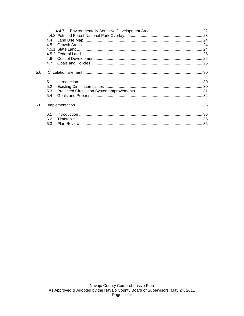|     | 4.5 |  |  |  |  |
|-----|-----|--|--|--|--|
|     |     |  |  |  |  |
|     |     |  |  |  |  |
|     | 4.6 |  |  |  |  |
|     | 47  |  |  |  |  |
| 5.0 |     |  |  |  |  |
|     | 5.1 |  |  |  |  |
|     | 5.2 |  |  |  |  |
|     | 5.3 |  |  |  |  |
|     | 5.4 |  |  |  |  |
| 6.0 |     |  |  |  |  |
|     | 6.1 |  |  |  |  |
|     | 6.2 |  |  |  |  |
|     | 6.3 |  |  |  |  |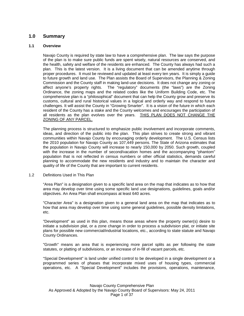# **1.0 Summary**

#### **1.1 Overview**

Navajo County is required by state law to have a comprehensive plan. The law says the purpose of the plan is to make sure public funds are spent wisely, natural resources are conserved, and the health, safety and welfare of the residents are enhanced. The County has always had such a plan. This is the latest version. It is a living document that can be amended anytime through proper procedures. It must be reviewed and updated at least every ten years. It is simply a guide to future growth and land use. The Plan assists the Board of Supervisors, the Planning & Zoning Commission and the County staff in making land-use decisions. It does not change any zoning or affect anyone's property rights. The "regulatory" documents (the "laws") are the Zoning Ordinance, the zoning maps and the related codes like the Uniform Building Code, etc. The comprehensive plan is a "philosophical" document that can help the County grow and preserve its customs, cultural and rural historical values in a logical and orderly way and respond to future challenges. It will assist the County in "Growing Smarter". It is a vision of the future in which each resident of the County has a stake and the County welcomes and encourages the participation of all residents as the plan evolves over the years. THIS PLAN DOES NOT CHANGE THE ZONING OF ANY PARCEL.

The planning process is structured to emphasize public involvement and incorporate comments, ideas, and direction of the public into the plan. This plan strives to create strong and vibrant communities within Navajo County by encouraging orderly development. The U.S. Census lists the 2010 population for Navajo County as 107,449 persons. The State of Arizona estimates that the population in Navajo County will increase to nearly 150,000 by 2050. Such growth, coupled with the increase in the number of second/vacation homes and the accompanying "phantom" population that is not reflected in census numbers or other official statistics, demands careful planning to accommodate the new residents and industry and to maintain the character and quality of life of the County that are important to current residents.

1.2 Definitions Used in This Plan

"Area Plan" is a designation given to a specific land area on the map that indicates as to how that area may develop over time using some specific land use designations, guidelines, goals and/or objectives. An Area Plan shall encompass at least 640 acres.

"Character Area" is a designation given to a general land area on the map that indicates as to how that area may develop over time using some general guidelines, possible density limitations, etc.

"Development" as used in this plan, means those areas where the property owner(s) desire to initiate a subdivision plat, or a zone change in order to process a subdivision plat, or initiate site plans for possible new commercial/industrial locations, etc., according to state statute and Navajo County Ordinances.

"Growth" means an area that is experiencing more parcel splits as per following the state statutes, or platting of subdivisions, or an increase of in-fill of vacant parcels, etc.

"Special Development" is land under unified control to be developed in a single development or a programmed series of phases that incorporate mixed uses of housing types, commercial operations, etc. A "Special Development" includes the provisions, operations, maintenance,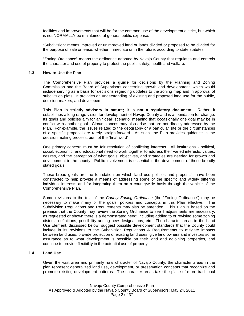facilities and improvements that will be for the common use of the development district, but which is not NORMALLY be maintained at general public expense.

"Subdivision" means improved or unimproved land or lands divided or proposed to be divided for the purpose of sale or lease, whether immediate or in the future, according to state statutes.

"Zoning Ordinance" means the ordinance adopted by Navajo County that regulates and controls the character and use of property to protect the public safety, health and welfare.

#### **1.3 How to Use the Plan**

The Comprehensive Plan provides a **guide** for decisions by the Planning and Zoning Commission and the Board of Supervisors concerning growth and development, which would include serving as a basis for decisions regarding updates to the zoning map and in approval of subdivision plats. It provides an understanding of existing and proposed land use for the public, decision-makers, and developers.

**This Plan is strictly advisory in nature; it is not a regulatory document**. Rather, it establishes a long range vision for development of Navajo County and is a foundation for change. Its goals and policies aim for an "ideal" scenario, meaning that occasionally one goal may be in conflict with another goal. Circumstances may also arise that are not directly addressed by the Plan. For example, the issues related to the geography of a particular site or the circumstances of a specific proposal are rarely straightforward. As such, the Plan provides guidance in the decision making process, but not the "final word".

One primary concern must be fair resolution of conflicting interests. All institutions - political, social, economic, and educational need to work together to address their varied interests, values, desires, and the perception of what goals, objectives, and strategies are needed for growth and development in the county. Public involvement is essential in the development of these broadly stated goals.

These broad goals are the foundation on which land use policies and proposals have been constructed to help provide a means of addressing some of the specific and widely differing individual interests and for integrating them on a countrywide basis through the vehicle of the Comprehensive Plan.

Some revisions to the text of the *County Zoning Ordinance* (the "Zoning Ordinance") may be necessary to make many of the goals, policies and concepts in this Plan effective. The Subdivision Regulations and Requirements may also be amended. This Plan is based on the premise that the County may review the Zoning Ordinance to see if adjustments are necessary, as requested or shown there is a demonstrated need; including adding to or revising some zoning districts definitions, possibility adding new designations, etc. The character areas in the Land Use Element, discussed below, suggest possible development standards that the County could include in its revisions to the Subdivision Regulations & Requirements to mitigate impacts between land uses, provide protection of existing land uses, give land owners and investors some assurance as to what development is possible on their land and adjoining properties, and continue to provide flexibility in the potential use of property.

#### **1.4 Land Use**

Given the vast area and primarily rural character of Navajo County, the character areas in the plan represent generalized land use, development, or preservation concepts that recognize and promote existing development patterns. The character areas take the place of more traditional

Navajo County Comprehensive Plan As Approved & Adopted by the Navajo County Board of Supervisors: May 24, 2011 Page 2 of 37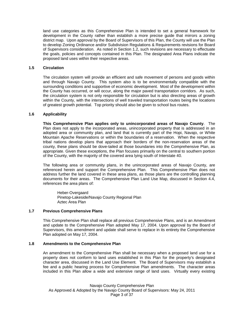land use categories as this Comprehensive Plan is intended to set a general framework for development in the County rather than establish a more precise guide that mirrors a zoning district map. Upon approval by the Board of Supervisors of this Plan, the County will use the Plan to develop Zoning Ordinance and/or Subdivision Regulations & Requirements revisions for Board of Supervisors consideration. As noted in Section 1.2, such revisions are necessary to effectuate the goals, policies and concepts contained in this Plan. The designated Area Plans indicate the proposed land uses within their respective areas.

#### **1.5 Circulation**

The circulation system will provide an efficient and safe movement of persons and goods within and through Navajo County. This system also is to be environmentally compatible with the surrounding conditions and supportive of economic development. Most of the development within the County has occurred, or will occur, along the major paved transportation corridors. As such, the circulation system is not only responsible for circulation but is also directing areas of growth within the County, with the intersections of well traveled transportation routes being the locations of greatest growth potential. Top priority should also be given to school bus routes.

#### **1.6 Applicability**

**This Comprehensive Plan applies only to unincorporated areas of Navajo County**. The Plan does not apply to the incorporated areas, unincorporated property that is addressed in an adopted area or community plan, and land that is currently part of the Hopi, Navajo, or White Mountain Apache Reservations or within the boundaries of a reservation. When the respective tribal nations develop plans that approach their borders of the non-reservation areas of the county, these plans should be dove-tailed at those boundaries into the Comprehensive Plan, as appropriate. Given these exceptions, the Plan focuses primarily on the central to southern portion of the County, with the majority of the covered area lying south of Interstate 40.

The following area or community plans, in the unincorporated areas of Navajo County, are referenced herein and support the Comprehensive Plan. This Comprehensive Plan does not address further the land covered in these area plans, as those plans are the controlling planning documents for their areas. The Comprehensive Plan Land Use Map, discussed in Section 4.4, references the area plans of:

Heber-Overgaard Pinetop-Lakeside/Navajo County Regional Plan Aztec Area Plan

#### **1.7 Previous Comprehensive Plans**

This Comprehensive Plan shall replace all previous Comprehensive Plans, and is an Amendment and update to the Comprehensive Plan adopted May 17, 2004. Upon approval by the Board of Supervisors, this amendment and update shall serve to replace in its entirety the Comprehensive Plan adopted on May 17, 2004.

#### **1.8 Amendments to the Comprehensive Plan**

An amendment to the Comprehensive Plan shall be necessary when a proposed land use for a property does not conform to land uses established in this Plan for the property's designated character area, discussed in the Land Use Element. The Board of Supervisors may establish a fee and a public hearing process for Comprehensive Plan amendments. The character areas included in this Plan allow a wide and extensive range of land uses. Virtually every existing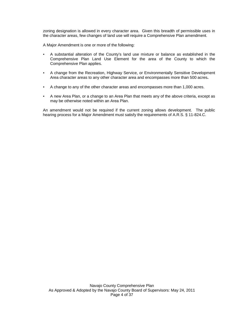zoning designation is allowed in every character area. Given this breadth of permissible uses in the character areas, few changes of land use will require a Comprehensive Plan amendment.

A Major Amendment is one or more of the following:

- A substantial alteration of the County's land use mixture or balance as established in the Comprehensive Plan Land Use Element for the area of the County to which the Comprehensive Plan applies.
- A change from the Recreation, Highway Service, or Environmentally Sensitive Development Area character areas to any other character area and encompasses more than 500 acres**.**
- A change to any of the other character areas and encompasses more than 1,000 acres.
- A new Area Plan, or a change to an Area Plan that meets any of the above criteria, except as may be otherwise noted within an Area Plan.

An amendment would not be required if the current zoning allows development. The public hearing process for a Major Amendment must satisfy the requirements of A.R.S. § 11-824.C.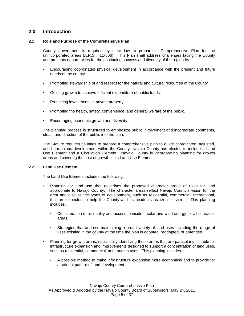# **2.0 Introduction**

#### **2.1 Role and Purpose of the Comprehensive Plan**

County government is required by state law to prepare a Comprehensive Plan for the unincorporated areas (A.R.S. §11-806). This Plan shall address challenges facing the County and presents opportunities for the continuing success and diversity of the region by:

- Encouraging coordinated physical development in accordance with the present and future needs of the county.
- Promoting stewardship of and respect for the natural and cultural resources of the County.
- Guiding growth to achieve efficient expenditure of public funds.
- **Protecting investments in private property.**
- Promoting the health, safety, convenience, and general welfare of the public.
- Encouraging economic growth and diversity.

The planning process is structured to emphasize public involvement and incorporate comments, ideas, and direction of the public into the plan.

The Statute requires counties to prepare a comprehensive plan to guide coordinated, adjusted, and harmonious development within the County. Navajo County has elected to include a Land Use Element and a Circulation Element. Navajo County is incorporating planning for growth areas and covering the cost of growth in its Land Use Element.

#### **2.2 Land Use Element**

The Land Use Element includes the following:

- Planning for land use that describes the proposed character areas of uses for land appropriate to Navajo County. The character areas reflect Navajo County's vision for the area and discuss the types of development, such as residential, commercial, recreational, that are expected to help the County and its residents realize this vision. This planning includes:
	- Consideration of air quality and access to incident solar and wind energy for all character areas.
	- Strategies that address maintaining a broad variety of land uses including the range of uses existing in the county at the time the plan is adopted, readopted, or amended.
- Planning for growth areas, specifically identifying those areas that are particularly suitable for infrastructure expansion and improvements designed to support a concentration of land uses, such as residential, commercial, and tourism uses. This planning includes:
	- A possible method to make infrastructure expansion more economical and to provide for a rational pattern of land development.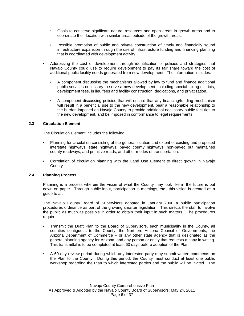- Goals to conserve significant natural resources and open areas in growth areas and to coordinate their location with similar areas outside of the growth areas.
- Possible promotion of public and private construction of timely and financially sound infrastructure expansion through the use of infrastructure funding and financing planning that is coordinated with development activity.
- Addressing the cost of development through identification of policies and strategies that Navajo County could use to require development to pay its fair share toward the cost of additional public facility needs generated from new development. The information includes:
	- A component discussing the mechanisms allowed by law to fund and finance additional public services necessary to serve a new development, including special taxing districts, development fees, in lieu fees and facility construction, dedications, and privatization.
	- A component discussing policies that will ensure that any financing/funding mechanism will result in a beneficial use to the new development, bear a reasonable relationship to the burden imposed on Navajo County to provide additional necessary public facilities to the new development, and be imposed in conformance to legal requirements.

#### **2.3 Circulation Element**

The Circulation Element includes the following:

- Planning for circulation consisting of the general location and extent of existing and proposed interstate highways, state highways, paved county highways, non-paved but maintained county roadways, and primitive roads, and other modes of transportation.
- Correlation of circulation planning with the Land Use Element to direct growth in Navajo County.

#### **2.4 Planning Process**

Planning is a process wherein the vision of what the County may look like in the future is put down on paper. Through public input, participation in meetings, etc., this vision is created as a guide to all.

The Navajo County Board of Supervisors adopted in January 2000 a public participation procedures ordinance as part of the growing smarter legislation. This directs the staff to involve the public as much as possible in order to obtain their input in such matters. The procedures require:

- Transmit the Draft Plan to the Board of Supervisors, each municipality in the County, all counties contiguous to the County, the Northern Arizona Council of Governments, the Arizona Department of Commerce – or any other state agency that is designated as the general planning agency for Arizona, and any person or entity that requests a copy in writing. This transmittal is to be completed at least 60 days before adoption of the Plan.
- A 60 day review period during which any interested party may submit written comments on the Plan to the County. During this period, the County must conduct at least one public workshop regarding the Plan to which interested parties and the public will be invited. The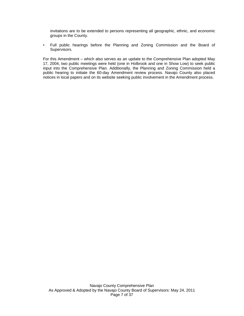invitations are to be extended to persons representing all geographic, ethnic, and economic groups in the County.

▪ Full public hearings before the Planning and Zoning Commission and the Board of Supervisors.

For this Amendment – which also serves as an update to the Comprehensive Plan adopted May 17, 2004, two public meetings were held (one in Holbrook and one in Show Low) to seek public input into the Comprehensive Plan. Additionally, the Planning and Zoning Commission held a public hearing to initiate the 60-day Amendment review process. Navajo County also placed notices in local papers and on its website seeking public involvement in the Amendment process.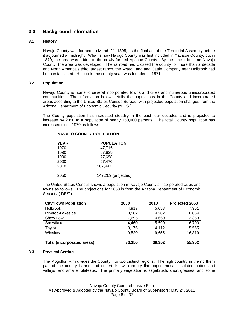# **3.0 Background Information**

#### **3.1 History**

Navajo County was formed on March 21, 1895, as the final act of the Territorial Assembly before it adjourned at midnight. What is now Navajo County was first included in Yavapai County, but in 1879, the area was added to the newly formed Apache County. By the time it became Navajo County, the area was developed. The railroad had crossed the county for more than a decade and North America's third largest ranch, the Aztec Land and Cattle Company near Holbrook had been established. Holbrook, the county seat, was founded in 1871.

#### **3.2 Population**

Navajo County is home to several incorporated towns and cities and numerous unincorporated communities. The information below details the populations in the County and incorporated areas according to the United States Census Bureau, with projected population changes from the Arizona Department of Economic Security ("DES").

The County population has increased steadily in the past four decades and is projected to increase by 2050 to a population of nearly 150,000 persons. The total County population has increased since 1970 as follows:

| <b>YEAR</b> | <b>POPULATION</b> |
|-------------|-------------------|
| 1970        | 47,715            |
| 1980        | 67,629            |
| 1990        | 77,658            |
| 2000        | 97.470            |
| 2010        | 107,447           |
|             |                   |

2050 147,269 (projected)

The United States Census shows a population in Navajo County's incorporated cities and towns as follows. The projections for 2050 is from the Arizona Department of Economic Security ("DES").

| <b>City/Town Population</b>       | 2000   | 2010   | Projected 2050 |
|-----------------------------------|--------|--------|----------------|
| <b>Holbrook</b>                   | 4,917  | 5,053  | 7,951          |
| Pinetop-Lakeside                  | 3,582  | 4,282  | 6,064          |
| Show Low                          | 7,695  | 10,660 | 13,353         |
| Snowflake                         | 4,460  | 5,590  | 6,700          |
| Taylor                            | 3,176  | 4,112  | 5,565          |
| Winslow                           | 9,520  | 9,655  | 16,319         |
|                                   |        |        |                |
| <b>Total (incorporated areas)</b> | 33,350 | 39,352 | 55,952         |

#### **3.3 Physical Setting**

The Mogollon Rim divides the County into two distinct regions. The high country in the northern part of the county is arid and desert-like with empty flat-topped mesas, isolated buttes and valleys, and smaller plateaus. The primary vegetation is sagebrush, short grasses, and some

Navajo County Comprehensive Plan As Approved & Adopted by the Navajo County Board of Supervisors: May 24, 2011 Page 8 of 37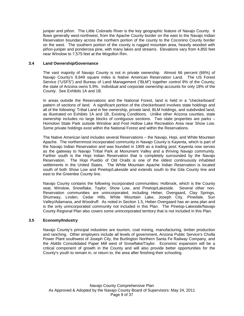juniper and piñon. The Little Colorado River is the key geographic feature of Navajo County. It flows generally west-northwest, from the Apache County border on the east to the Navajo Indian Reservation boundary across the northern portion of the county to the Coconino County border on the west. The southern portion of the county is rugged mountain area, heavily wooded with piñon-juniper and ponderosa pine, with many lakes and streams. Elevations vary from 4,850 feet near Winslow to 7,575 feet at the Mogollon Rim.

#### **3.4 Land Ownership/Governance**

The vast majority of Navajo County is not in private ownership. Almost 66 percent (66%) of Navajo County's 9,949 square miles is Native American Reservation Land. The US Forest Service ("USFS") and Bureau of Land Management ("BLM") together control 9% of the County; the state of Arizona owns 5.9%. Individual and corporate ownership accounts for only 18% of the County. See Exhibits 1A and 1B.

In areas outside the Reservations and the National Forest, land is held in a "checkerboard' pattern of sections of land. A significant portion of the checkerboard involves state holdings and all of the following: Tribal Land in fee ownership, private land, BLM holdings, and subdivided land, as illustrated on Exhibits 1A and 1B, Existing Conditions. Unlike other Arizona counties, state ownership includes no large blocks of contiguous sections. Two state properties are parks – Homolovi State Park outside Winslow and Fool Hollow Lake Recreation Area near Show Low. Some private holdings exist within the National Forest and within the Reservations.

The Native American land includes several Reservations – the Navajo, Hopi, and White Mountain Apache. The northernmost incorporated community in Navajo County is Kayenta, which is part of the Navajo Indian Reservation and was founded in 1909 as a trading post; Kayenta now serves as the gateway to Navajo Tribal Park at Monument Valley and a thriving Navajo community. Farther south is the Hopi Indian Reservation that is completely surrounded by the Navajo Reservation. The Hopi Pueblo of Old Oraibi is one of the oldest continuously inhabited settlements in the United States. The White Mountain Apache Indian Reservation is located south of both Show Low and Pinetop/Lakeside and extends south to the Gila County line and east to the Greenlee County line.

Navajo County contains the following incorporated communities: Holbrook, which is the County seat, Winslow, Snowflake, Taylor, Show Low, and Pinetop/Lakeside. Several other non-Reservation communities are unincorporated, including Heber, Overgaard, Clay Springs, Shumway, Linden, Cedar Hills, White Mountain Lake, Joseph City, Pinedale, Sun Valley/Adamana, and Woodruff. As noted in Section 1.5, Heber-Overgaard has an area plan and is the only unincorporated community not included in this Plan. The Pinetop-Lakeside/Navajo County Regional Plan also covers some unincorporated territory that is not included in this Plan.

### **3.5 Economy/Industry**

Navajo County's principal industries are tourism, coal mining, manufacturing, timber production and ranching. Other employers include all levels of government, Arizona Public Service's Cholla Power Plant southwest of Joseph City, the Burlington Northern Santa Fe Railway Company, and the Abitibi Consolidated Paper Mill west of Snowflake/Taylor. Economic expansion will be a critical component of growth in the County and will also provide better opportunities for the County's youth to remain in, or return to, the area after finishing their schooling.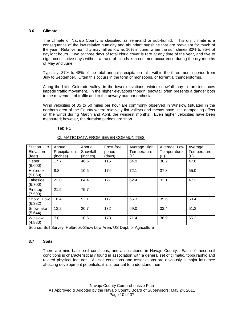#### **3.6 Climate**

The climate of Navajo County is classified as semi-arid or sub-humid. This dry climate is a consequence of the low relative humidity and abundant sunshine that are prevalent for much of the year. Relative humidity may fall as low as 10% in June, when the sun shines 80% to 85% of daylight hours. Two or three days of total cloud cover is rare at any time of the year, and five to eight consecutive days without a trace of clouds is a common occurrence during the dry months of May and June.

Typically, 37% to 48% of the total annual precipitation falls within the three-month period from July to September. Often this occurs in the form of monsoons, or torrential thunderstorms.

Along the Little Colorado valley, in the lower elevations, winter snowfall may in rare instances impede traffic movement. In the higher elevations though, snowfall often presents a danger both to the movement of traffic and to the unwary outdoor enthusiast.

Wind velocities of 35 to 50 miles per hour are commonly observed in Winslow (situated in the northern area of the County where relatively flat valleys and mesas have little dampening effect on the wind) during March and April, the windiest months. Even higher velocities have been measured; however, the duration periods are short.

#### **Table 1**

| &<br>Station    | Annual        | Annual   | Frost-free | Average High | Average Low | Average     |
|-----------------|---------------|----------|------------|--------------|-------------|-------------|
| Elevation       | Precipitation | Snowfall | period     | Temperature  | Temperature | Temperature |
| (feet)          | (inches)      | (inches) | (days)     | (F)          | (F)         | (F)         |
| Heber           | 17.7          | 46.6     | 115        | 64.9         | 30.2        | 47.6        |
| (6,600)         |               |          |            |              |             |             |
| <b>Holbrook</b> | 8.8           | 10.6     | 174        | 72.1         | 37.8        | 55.0        |
| (5,069)         |               |          |            |              |             |             |
| Lakeside        | 22.0          | 64.4     | 127        | 62.4         | 32.1        | 47.2        |
| (6,700)         |               |          |            |              |             |             |
| Pinetop         | 21.5          | 75.7     |            |              |             |             |
| (7,500)         |               |          |            |              |             |             |
| Show<br>Low     | 18.4          | 52.1     | 117        | 65.3         | 35.6        | 50.4        |
| (6, 382)        |               |          |            |              |             |             |
| Snowflake       | 12.2          | 20.7     | 132        | 69.0         | 33.4        | 51.2        |
| (5,644)         |               |          |            |              |             |             |
| Winslow         | 7.8           | 10.5     | 173        | 71.4         | 38.9        | 55.2        |
| (4,880)         |               |          |            |              |             |             |

### CLIMATIC DATA FROM SEVEN COMMUNITIES

Source: Soil Survey, Holbrook-Show Low Area, US Dept. of Agriculture

#### **3.7 Soils**

There are nine basic soil conditions, and associations, in Navajo County. Each of these soil conditions is characteristically found in association with a general set of climatic, topographic and related physical features. As soil conditions and associations are obviously a major influence affecting development potentials, it is important to understand them.

Navajo County Comprehensive Plan As Approved & Adopted by the Navajo County Board of Supervisors: May 24, 2011 Page 10 of 37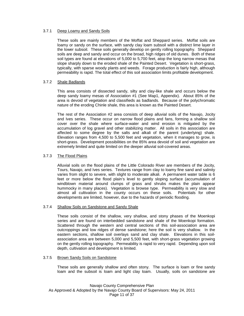#### 3.7.1 Deep Loamy and Sandy Soils

These soils are mainly members of the Moffat and Sheppard series. Moffat soils are loamy or sandy on the surface, with sandy clay loam subsoil with a distinct lime layer in the lower subsoil. These soils generally develop on gently rolling topography. Sheppard soils are deep and sandy and occur on the broad, high ridges of old dunes. Both of these soil types are found at elevations of 5,000 to 5,700 feet, atop the long narrow mesas that slope sharply down to the eroded shale of the Painted Desert. Vegetation is short-grass, typically, with sparse woody plants and weeds. Forage production is fairly high, although permeability is rapid. The total effect of this soil association limits profitable development.

#### 3.7.2 Shale Badlands

This area consists of dissected sandy, silty and clay-like shale and occurs below the deep sandy loamy mesas of Association #1 (See Map1, Appendix). About 85% of the area is devoid of vegetation and classifieds as badlands. Because of the polychromatic nature of the eroding Chinle shale, this area is known as the Painted Desert.

The rest of the Association #2 area consists of deep alluvial soils of the Navajo, Jocity and Ives series. These occur on narrow flood plains and fans, forming a shallow soil cover over the shale where surface-water and wind erosion is mitigated by the accumulation of log gravel and other stabilizing matter. All soils in this association are affected to some degree by the salts and alkali of the parent (underlying) shale. Elevation ranges from 4,500 to 5,500 feet and vegetation, when it manages to grow, is short-grass. Development possibilities on the 85% area devoid of soil and vegetation are extremely limited and quite limited on the deeper alluvial soil-covered areas.

#### 3.7.3 The Flood Plains

Alluvial soils on the flood plains of the Little Colorado River are members of the Jocity, Tours, Navajo, and Ives series. Textures range from clay to loamy fine sand and salinity varies from slight to severe, with slight to moderate alkali. A permanent water table is 6 feet or more below the flood plain's level to gently sloping surface (accumulation of windblown material around clumps of grass and shrubs makes the plain appear hummocky in many places). Vegetation is browse type. Permeability is very slow and almost all cultivation in the county occurs on these soils. Potentials for other developments are limited, however, due to the hazards of periodic flooding.

#### 3.7.4 Shallow Soils on Sandstone and Sandy Shale

These soils consist of the shallow, very shallow, and stony phases of the Moenkopi series and are found on interbedded sandstone and shale of the Moenkopi formation. Scattered through the western and central sections of this soil-association area are outcroppings and low ridges of dense sandstone; here the soil is very shallow. In the eastern sections, shallow soil overlays sand and clay shale. Elevations in this soilassociation area are between 5,000 and 5,500 feet, with short-grass vegetation growing on the gently rolling topography. Permeability is rapid to very rapid. Depending upon soil depth, cultivation and development is limited.

#### 3.7.5 Brown Sandy Soils on Sandstone

These soils are generally shallow and often stony. The surface is loam or fine sandy loam and the subsoil is loam and light clay loam. Usually, soils on sandstone are

Navajo County Comprehensive Plan As Approved & Adopted by the Navajo County Board of Supervisors: May 24, 2011 Page 11 of 37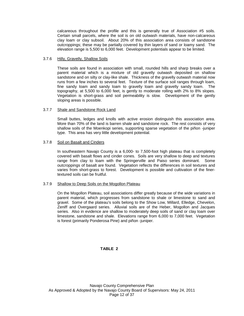calcareous throughout the profile and this is generally true of Association #5 soils. Certain small parcels, where the soil is on old outwash materials, have non-calcareous clay loam or clay subsoil. About 20% of this association area consists of sandstone outcroppings; these may be partially covered by thin layers of sand or loamy sand. The elevation range is 5,500 to 6,000 feet. Development potentials appear to be limited.

#### 3.7.6 Hilly, Gravelly, Shallow Soils

These soils are found in association with small, rounded hills and sharp breaks over a parent material which is a mixture of old gravelly outwash deposited on shallow sandstone and on silty or clay-like shale. Thickness of the gravelly outwash material now runs from a few inches to several feet. Texture of the surface soil ranges through loam, fine sandy loam and sandy loam to gravelly loam and gravelly sandy loam. The topography, at 5,500 to 6,000 feet, is gently to moderate rolling with 2% to 8% slopes. Vegetation is short-grass and soil permeability is slow. Development of the gently sloping areas is possible.

#### 3.7.7 Shale and Sandstone Rock Land

Small buttes, ledges and knolls with active erosion distinguish this association area. More than 70% of the land is barren shale and sandstone rock. The rest consists of very shallow soils of the Moenkopi series, supporting sparse vegetation of the piñon -juniper type. This area has very little development potential.

#### 3.7.8 Soil on Basalt and Cinders

In southeastern Navajo County is a 6,000- to 7,500-foot high plateau that is completely covered with basalt flows and cinder cones. Soils are very shallow to deep and textures range from clay to loam with the Springerville and Paiso series dominant. Some outcroppings of basalt are found. Vegetation reflects the differences in soil textures and varies from short-grass to forest. Development is possible and cultivation of the finertextured soils can be fruitful.

#### 3.7.9 Shallow to Deep Soils on the Mogollon Plateau

On the Mogollon Plateau, soil associations differ greatly because of the wide variations in parent material, which progresses from sandstone to shale or limestone to sand and gravel. Some of the plateau's soils belong to the Show Low, Millard, Elledge, Chevelon, Zeniff and Overgaard series. Alluvial soils are of the Heber, Mogollon and Jacques series. Also in evidence are shallow to moderately deep soils of sand or clay loam over limestone, sandstone and shale. Elevations range from 6,000 to 7,000 feet. Vegetation is forest (primarily Ponderosa Pine) and piñon -juniper.

#### **TABLE 2**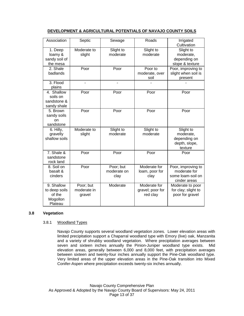## **DEVELOPMENT & AGRICULTURAL POTENTIALS OF NAVAJO COUNTY SOILS**

| Association                                                  | Septic                             | Sewage                           | Roads                                        | Irrigated<br>Cultivation                                                |
|--------------------------------------------------------------|------------------------------------|----------------------------------|----------------------------------------------|-------------------------------------------------------------------------|
| 1. Deep<br>loamy &<br>sandy soil of<br>the mesa              | Moderate to<br>slight              | Slight to<br>moderate            | Slight to<br>moderate                        | Slight to<br>moderate,<br>depending on<br>slope & texture               |
| 2. Shale<br>badlands                                         | Poor                               | Poor                             | Poor to<br>moderate, over<br>soil            | Poor, improving to<br>slight when soil is<br>present                    |
| 3. Flood<br>plains                                           |                                    |                                  |                                              |                                                                         |
| 4. Shallow<br>soils on<br>sandstone &<br>sandy shale         | Poor                               | Poor                             | Poor                                         | Poor                                                                    |
| 5. Brown<br>sandy soils<br>on<br>sandstone                   | Poor                               | Poor                             | Poor                                         | Poor                                                                    |
| 6. Hilly,<br>gravelly<br>shallow soils                       | Moderate to<br>slight              | Slight to<br>moderate            | Slight to<br>moderate                        | Slight to<br>moderate,<br>depending on<br>depth, slope,<br>texture      |
| 7. Shale &<br>sandstone<br>rock land                         | Poor                               | Poor                             | Poor                                         | Poor                                                                    |
| 8. Soil on<br>basalt &<br>cinders                            | Poor                               | Poor; but<br>moderate on<br>clay | Moderate for<br>loam, poor for<br>clay       | Poor, improving to<br>moderate for<br>some loam-soil on<br>cinder areas |
| 9. Shallow<br>to deep soils<br>of the<br>Mogollon<br>Plateau | Poor; but<br>moderate in<br>gravel | Moderate                         | Moderate for<br>gravel; poor for<br>red clay | Moderate to poor<br>for clay; slight to<br>poor for gravel              |

#### **3.8 Vegetation**

#### 3.8.1 Woodland Types

Navajo County supports several woodland vegetation zones. Lower elevation areas with limited precipitation support a Chaparral woodland type with Emory (live) oak, Manzanita and a variety of shrubby woodland vegetation. Where precipitation averages between seven and sixteen inches annually the Pinion-Juniper woodland type exists. Mid elevation areas, generally between 6,000 and 8,000 feet, with precipitation averages between sixteen and twenty-four inches annually support the Pine-Oak woodland type. Very limited areas of the upper elevation areas in the Pine-Oak transition into Mixed Conifer-Aspen where precipitation exceeds twenty-six inches annually.

Navajo County Comprehensive Plan As Approved & Adopted by the Navajo County Board of Supervisors: May 24, 2011 Page 13 of 37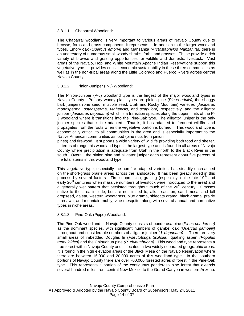#### 3.8.1.1 Chaparral Woodland:

The Chaparral woodland is very important to various areas of Navajo County due to browse, forbs and grass components it represents. In addition to the larger woodland types, Emory oak (*Quercus emoryi)* and Manzanita *(Arctostaphylos Manzanita),* there is an understory of numerous small woody shrubs, forbs and grasses. These provide a rich variety of browse and grazing opportunities for wildlife and domestic livestock. Vast areas of the Navajo, Hopi and White Mountain Apache Indian Reservations support this vegetative type. It provides critical economic sustainability in these three communities as well as in the non-tribal areas along the Little Colorado and Puerco Rivers across central Navajo County.

#### 3.8.1.2 Pinion-Juniper (P-J) Woodland:

The Pinion-Juniper (P-J) woodland type is the largest of the major woodland types in Navajo County. Primary woody plant types are pinion pine (*Pinus edulis),* the shaggy bark junipers *(*one seed, multiple seed, Utah and Rocky Mountain) varieties (*Juniperus monosperma, osteosperma, utahenisis,* and *scapulora)* respectively, and the alligator juniper (*Juniperus deppeana)* which is a transition species along the upper limits of the P-J woodland where it transitions into the Pine-Oak type. The alligator juniper is the only juniper species that is fire adapted. That is, it has adapted to frequent wildfire and propagates from the roots when the vegetative portion is burned. This woodland type is economically critical to all communities in the area and is especially important to the Native American communities as food (pine nuts from pinion

pines) and firewood. It supports a wide variety of wildlife providing both food and shelter. In terms of range this woodland type is the largest type and is found in all areas of Navajo County where precipitation is adequate from Utah in the north to the Black River in the south. Overall, the pinion pine and alligator juniper each represent about five percent of the total stems in this woodland type.

This vegetative type, especially the non-fire adapted varieties, has steadily encroached on the short-grass prairie areas across the landscape. It has been greatly aided in this process by several factors. Fire suppression, grazing (especially in the late 19<sup>th</sup> and early  $20<sup>th</sup>$  centuries when massive numbers of livestock were introduced to the area) and a generally wet pattern that persisted throughout much of the  $20<sup>th</sup>$  century. Grasses native to the area include, but are not limited to, alkali sacaton, sand mesa, and tall dropseed, galeta, western wheatgrass, blue grama, sideoats grama, black grama, prairie threeawn, and mountain muhly, vine mesquite, along with several annual and non native types in niche areas.

#### 3.8.1.3 Pine-Oak (Pippo) Woodland:

The Pine-Oak woodland in Navajo County consists of ponderosa pine (*Pinus ponderosa)*  as the dominant species, with significant numbers of gambel oak (*Quercus gambelii)*  throughout and considerable numbers of alligator juniper *(J. deppeana).* There are very small areas of imbedded Douglas fir (*Pseutotsuga taxifolia),* quaking aspen *(Populus tremuloides)* and the Chihuahua pine *(P. chihuahuana).* This woodland type represents a true forest within Navajo County and is located in two widely separated geographic areas. It is found in the high elevation areas of the Black Mesa on the Navajo Reservation where there are between 16,000 and 20,000 acres of this woodland type. In the southern portions of Navajo County there are over 700,000 forested acres of forest in the Pine-Oak type. This represents a portion of the contiguous ponderosa pine forest that extends several hundred miles from central New Mexico to the Grand Canyon in western Arizona.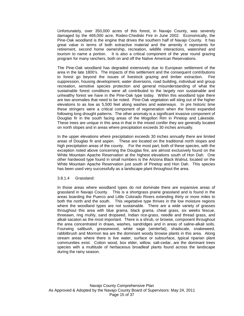Unfortunately, over 350,000 acres of this forest, in Navajo County, was severely damaged by the 469,000 acre, Rodeo-Chediski Fire in June 2002. Economically, the Pine-Oak woodland is the engine that drives the southern half of Navajo County. It has great value in terms of both extractive material and the amenity it represents for retirement, second home ownership, recreation, wildlife interactions, watershed and tourism to name a portion. It is also a critical component of the year round grazing program for many ranchers, both on and off the Native American Reservations.

The Pine-Oak woodland has degraded extensively due to European settlement of the area in the late 1800's. The impacts of this settlement and the consequent contributions to forest go beyond the issues of livestock grazing and timber extraction. Fire suppression, housing development, water diversions, road building, individual and group recreation, sensitive species protection and general misunderstanding of what the sustainable forest conditions were all contributed to the largely non sustainable and unhealthy forest we have in the Pine-Oak type today. Within this woodland type there are two anomalies that need to be noted. Pine-Oak vegetation will sting out of the higher elevations to as low as 5,500 feet along washes and waterways. In pre historic time these stringers were a critical component of regeneration when the forest expanded following long drought patterns. The other anomaly is a significant invasive component of Douglas fir in the south facing areas of the Mogollon Rim in Pinetop and Lakeside. These trees are unique in this area in that in the mixed conifer they are generally located on north slopes and in areas where precipitation exceeds 30 inches annually.

In the upper elevations where precipitation exceeds 30 inches annually there are limited areas of Douglas fir and aspen. These are located on the traditional north slopes and high precipitation areas of the county. For the most part, both of these species, with the exception noted above concerning the Douglas fire, are almost exclusively found on the White Mountain Apache Reservation at the highest elevations south of Hon Dah. One other hardwood type found in small numbers is the Arizona Black Walnut, located on the White Mountain Apache Reservation just south of Pinetop and Hon Dah. This species has been used very successfully as a landscape plant throughout the area.

#### 3.8.1.4 Grassland:

In those areas where woodland types do not dominate there are expansive areas of grassland in Navajo County. This is a shortgrass prairie grassland and is found in the areas boarding the Puerco and Little Colorado Rivers extending thirty or more miles to both the north and the south. This vegetative type thrives in the low moisture regions where the woodland types are not sustainable. There are a wide variety of grasses throughout this area with blue grama, black grama, cheat grass, six weeks fescue, threeawn, ring muhly, sand dropseed, Indian rice-grass, needle and thread grass, and alkali sacaton as the most important. There is a shrub, or browse, component throughout the area concentrated in draws, washes, sandridges and in areas of saline-alkali soils. Fourwing saltbush, greasewood, white sage (winterfat), shadscale, snakeweed, rabbitbrush and Mormon tea are the dominant woody browse plants in this area. Along stream areas where there is live water, surface or subsurface, typical riparian plant communities exist. Cotton wood, box elder, willow, salt-cedar, are the dominant trees species with a multitude of herbaceous broadleaf plants found across the landscape during the rainy season.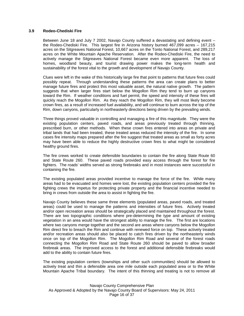#### **3.9 Rodeo-Chediski Fire**

Between June 18 and July 7 2002, Navajo County suffered a devastating and defining event – the Rodeo-Chediski Fire. This largest fire in Arizona history burned 467,099 acres – 167,215 acres on the Sitgreaves National Forest, 10,667 acres on the Tonto National Forest, and 289,217 acres on the White Mountain Apache Reservation. After the Rodeo-Chediski Fire, the need to actively manage the Sitgreaves National Forest became even more apparent. The loss of homes, woodland beauty, and tourist drawing power makes the long-term health and sustainability of the forest vital to the growth and development of Navajo County.

Clues were left in the wake of this historically large fire that point to patterns that future fires could possibly repeat. Through understanding these patterns the area can create plans to better manage future fires and protect this most valuable asset, the natural native growth. The pattern suggests that when larger fires start below the Mogollon Rim they tend to burn up canyons toward the Rim. If weather conditions and fuel permit, the speed and intensity of these fires will quickly reach the Mogollon Rim. As they reach the Mogollon Rim, they will most likely become crown fires, as a result of increased fuel availability, and will continue to burn across the top of the Rim, down canyons, particularly in northeasterly directions being driven by the prevailing winds.

Three things proved valuable in controlling and managing a fire of this magnitude. They were the existing population centers, paved roads, and areas previously treated through thinning, prescribed burn, or other methods. When these crown fires entered into areas on private and tribal lands that had been treated, these treated areas reduced the intensity of the fire. In some cases fire intensity maps prepared after the fire suggest that treated areas as small as forty acres may have been able to reduce the highly destructive crown fires to what might be considered healthy ground fires.

The fire crews worked to create defensible boundaries to contain the fire along State Route 60 and State Route 260. These paved roads provided easy access through the forest for fire fighters. The roads' widths served as strong firebreaks and in most instances were successful in containing the fire.

The existing populated areas provided incentive to manage the force of the fire. While many areas had to be evacuated and homes were lost, the existing population centers provided the fire fighting crews the impetus for protecting private property and the financial incentive needed to bring in crews from outside the area to assist in fighting the fire.

Navajo County believes these same three elements (populated areas, paved roads, and treated areas) could be used to manage the patterns and intensities of future fires. Actively treated and/or open recreation areas should be strategically placed and maintained throughout the forest. There are two topographic conditions where pre-determining the type and amount of existing vegetation in an area would have the strongest ability to manage the fire. The first are locations where two canyons merge together and the second are areas where canyons below the Mogollon Rim direct fire to breach the Rim and continue with renewed force on top. These actively treated and/or recreation areas should also be placed to catch fires driven by the northeasterly winds once on top of the Mogollon Rim. The Mogollon Rim Road and several of the forest roads connecting the Mogollon Rim Road and State Route 260 should be paved to allow broader firebreak areas. The improved access to the forest and additional defensible firebreaks would add to the ability to contain future fires.

The existing population centers (townships and other such communities) should be allowed to actively treat and thin a defensible area one mile outside each populated area or to the White Mountain Apache Tribal boundary. The intent of this thinning and treating is not to remove all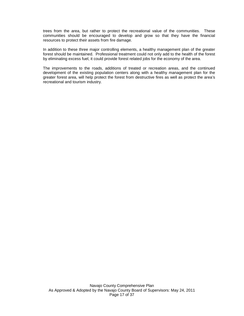trees from the area, but rather to protect the recreational value of the communities. These communities should be encouraged to develop and grow so that they have the financial resources to protect their assets from fire damage.

In addition to these three major controlling elements, a healthy management plan of the greater forest should be maintained. Professional treatment could not only add to the health of the forest by eliminating excess fuel, it could provide forest related jobs for the economy of the area.

The improvements to the roads, additions of treated or recreation areas, and the continued development of the existing population centers along with a healthy management plan for the greater forest area, will help protect the forest from destructive fires as well as protect the area's recreational and tourism industry.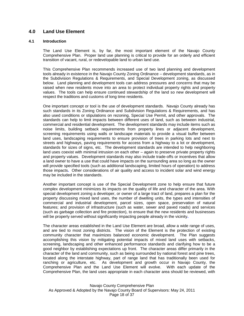# **4.0 Land Use Element**

#### **4.1 Introduction**

The Land Use Element is, by far, the most important element of the Navajo County Comprehensive Plan. Proper land use planning is critical to provide for an orderly and efficient transition of vacant, rural, or redevelopable land to urban land use.

This Comprehensive Plan recommends increased use of two land planning and development tools already in existence in the Navajo County Zoning Ordinance – development standards, as in the Subdivision Regulations & Requirements, and Special Development zoning, as discussed below. Land planning and development tools can address pressures and concerns that may be raised when new residents move into an area to protect individual property rights and property values. The tools can help ensure continued stewardship of the land so new development will respect the traditions and customs of long time residents.

One important concept or tool is the use of development standards. Navajo County already has such standards in its Zoning Ordinance and Subdivision Regulations & Requirements, and has also used conditions or stipulations on rezoning, Special Use Permit, and other approvals. The standards can help to limit impacts between different uses of land, such as between industrial, commercial and residential development. The development standards may include items such as noise limits, building setback requirements from property lines or adjacent development, screening requirements using walls or landscape materials to provide a visual buffer between land uses, landscaping requirements to ensure provision of trees in parking lots and next to streets and highways, paving requirements for access from a highway to a lot or development, standards for sizes of signs, etc. The development standards are intended to help neighboring land uses coexist with minimal intrusion on each other – again to preserve private property rights and property values. Development standards may also include trade-offs or incentives that allow a land owner to have a use that could have impacts on the surrounding area so long as the owner will provide specified tools (such as additional landscaping, limited hours of operation) to address those impacts**.** Other considerations of air quality and access to incident solar and wind energy may be included in the standards.

Another important concept is use of the Special Development zone to help ensure that future complex development minimizes its impacts on the quality of life and character of the area. With special development zoning a developer, or owner of a large tract of land, prepares a plan for the property discussing mixed land uses, the number of dwelling units, the types and intensities of commercial and industrial development, parcel sizes, open space, preservation of natural features; and provision of infrastructure (such as water, sewer and paved roads) and services (such as garbage collection and fire protection), to ensure that the new residents and businesses will be properly served without significantly impacting people already in the vicinity**.** 

The character areas established in the Land Use Element are broad, allow a wide range of uses, and are tied to most zoning districts. The vision of the Element is the protection of existing community character that maximizes balanced economic development. The Plan suggests accomplishing this vision by mitigating potential impacts of mixed land uses with setbacks, screening, landscaping and other enhanced performance standards and clarifying how to be a good neighbor by establishing expectations up front. The character areas differ primarily in the character of the land and community, such as being surrounded by national forest and pine trees, located along the interstate highway, part of range land that has traditionally been used for ranching or agriculture, etc. As development and growth occur in Navajo County, the Comprehensive Plan and the Land Use Element will evolve. With each update of the Comprehensive Plan, the land uses appropriate in each character area should be reviewed, with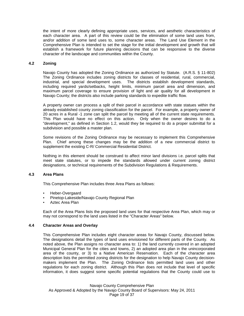the intent of more clearly defining appropriate uses, services, and aesthetic characteristics of each character area. A part of this review could be the elimination of some land uses from, and/or addition of some land uses to, some character areas. The Land Use Element in the Comprehensive Plan is intended to set the stage for the initial development and growth that will establish a framework for future planning decisions that can be responsive to the diverse character of the landscape and communities within the County.

#### **4.2 Zoning**

Navajo County has adopted the Zoning Ordinance as authorized by Statute. (A.R.S. § 11-802) The Zoning Ordinance includes zoning districts for classes of residential, rural, commercial, industrial, and special development uses. The districts establish development standards, including required yards/setbacks, height limits, minimum parcel area and dimension, and maximum parcel coverage to ensure provision of light and air quality for all development in Navajo County; the districts also include parking standards to expedite traffic flow.

A property owner can process a split of their parcel in accordance with state statues within the already established county zoning classification for the parcel. For example, a property owner of 20 acres in a Rural -1 zone can split the parcel by meeting all of the current state requirements. This Plan would have no effect on this action. Only when the owner desires to do a "development," as defined in Section 1.2, would they be required to do a proper submittal for a subdivision and possible a master plan.

Some revisions of the Zoning Ordinance may be necessary to implement this Comprehensive Plan. Chief among these changes may be the addition of a new commercial district to supplement the existing C-R/ Commercial Residential District.

Nothing in this element should be construed to affect minor land divisions i.e. parcel splits that meet state statutes, or to impede the standards allowed under current zoning district designations, or technical requirements of the Subdivision Regulations & Requirements.

#### **4.3 Area Plans**

This Comprehensive Plan includes three Area Plans as follows:

- Heber-Overgaard
- Pinetop-Lakeside/Navajo County Regional Plan
- Aztec Area Plan

Each of the Area Plans lists the proposed land uses for that respective Area Plan, which may or may not correspond to the land uses listed in the "Character Areas" below.

#### **4.4 Character Areas and Overlay**

This Comprehensive Plan includes eight character areas for Navajo County, discussed below. The designations detail the types of land uses envisioned for different parts of the County. As noted above, the Plan assigns no character area to: 1) the land currently covered in an adopted Municipal General Plan for the cities and towns, 2) an adopted area plan in the unincorporated area of the county, or 3) to a Native American Reservation. Each of the character area description lists the permitted zoning districts for the designation to help Navajo County decisionmakers implement the Plan. The Zoning Ordinance lists permitted land uses and other regulations for each zoning district. Although this Plan does not include that level of specific information, it does suggest some specific potential regulations that the County could use to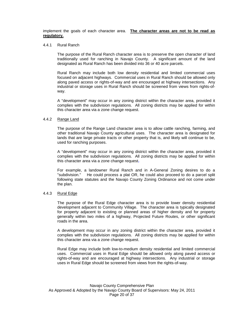implement the goals of each character area. **The character areas are not to be read as regulatory.**

#### 4.4.1 Rural Ranch

The purpose of the Rural Ranch character area is to preserve the open character of land traditionally used for ranching in Navajo County. A significant amount of the land designated as Rural Ranch has been divided into 36 or 40 acre parcels.

Rural Ranch may include both low density residential and limited commercial uses focused on adjacent highways. Commercial uses in Rural Ranch should be allowed only along paved access or rights-of-way and are encouraged at highway intersections. Any industrial or storage uses in Rural Ranch should be screened from views from rights-ofway.

A "development" may occur in any zoning district within the character area, provided it complies with the subdivision regulations. All zoning districts may be applied for within this character area via a zone change request.

#### 4.4.2 Range Land

The purpose of the Range Land character area is to allow cattle ranching, farming, and other traditional Navajo County agricultural uses. The character area is designated for lands that are large private tracts or other property that is, and likely will continue to be, used for ranching purposes.

A "development" may occur in any zoning district within the character area, provided it complies with the subdivision regulations. All zoning districts may be applied for within this character area via a zone change request**.** 

For example, a landowner Rural Ranch and in A-General Zoning desires to do a "subdivision." He could process a plat OR, he could also proceed to do a parcel split following state statutes and the Navajo County Zoning Ordinance and not come under the plan.

#### 4.4.3 Rural Edge

The purpose of the Rural Edge character area is to provide lower density residential development adjacent to Community Village. The character area is typically designated for property adjacent to existing or planned areas of higher density and for property generally within two miles of a highway, Projected Future Routes, or other significant roads in the area.

A development may occur in any zoning district within the character area, provided it complies with the subdivision regulations. All zoning districts may be applied for within this character area via a zone change request.

Rural Edge may include both low-to-medium density residential and limited commercial uses. Commercial uses in Rural Edge should be allowed only along paved access or rights-of-way and are encouraged at highway intersections. Any industrial or storage uses in Rural Edge should be screened from views from the rights-of-way.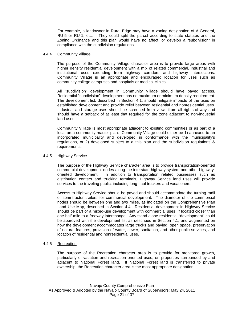For example, a landowner in Rural Edge may have a zoning designation of A-General, RU-5 or RU-1, etc. They could split the parcel according to state statutes and the Zoning Ordinance and this plan would have no affect, or develop a "subdivision" in compliance with the subdivision regulations.

#### 4.4.4 Community Village

The purpose of the Community Village character area is to provide large areas with higher density residential development with a mix of related commercial, industrial and institutional uses extending from highway corridors and highway intersections. Community Village is an appropriate and encouraged location for uses such as community college campuses and hospitals or medical clinics.

All "subdivision" development in Community Village should have paved access. Residential "subdivision" development has no maximum or minimum density requirement. The development list, described in Section 4.1, should mitigate impacts of the uses on established development and provide relief between residential and nonresidential uses. Industrial and storage uses should be screened from views from all rights-of-way and should have a setback of at least that required for the zone adjacent to non-industrial land uses.

Community Village is most appropriate adjacent to existing communities or as part of a local area community master plan. Community Village could either be 1) annexed to an incorporated municipality and developed in conformance with the municipality's regulations, or 2) developed subject to a this plan and the subdivision regulations & requirements.

#### 4.4.5 Highway Service

The purpose of the Highway Service character area is to provide transportation-oriented commercial development nodes along the interstate highway system and other highwayoriented development. In addition to transportation related businesses such as distribution centers and trucking terminals, Highway Service land uses will provide services to the traveling public, including long haul truckers and vacationers.

Access to Highway Service should be paved and should accommodate the turning radii of semi-tractor trailers for commercial development. The diameter of the commercial nodes should be between one and two miles, as indicated on the Comprehensive Plan Land Use Map, described in Section 4.4. Residential development in Highway Service should be part of a mixed-use development with commercial uses, if located closer than one-half mile to a freeway interchange. Any stand alone residential "development" could be approved with the development list as described in Section 4.1, and augmented on how the development accommodates large trucks and paving, open space, preservation of natural features, provision of water, sewer, sanitation, and other public services, and location of residential and nonresidential uses.

#### 4.4.6 Recreation

The purpose of the Recreation character area is to provide for monitored growth, particularly of vacation and recreation oriented uses, on properties surrounded by and adjacent to National Forest land. If National Forest land is transferred to private ownership, the Recreation character area is the most appropriate designation.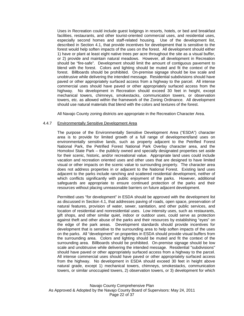Uses in Recreation could include guest lodgings in resorts, hotels, or bed and breakfast facilities, restaurants, and other tourist-oriented commercial uses, and residential uses, especially second homes and staff-related housing*.* Use of the development list, described in Section 4.1, that provide incentives for development that is sensitive to the forest would help soften impacts of the uses on the forest. All development should either 1) have or plant at least eight native trees per acre throughout the site as a visual buffer, or 2) provide and maintain natural meadows. However, all development in Recreation should be "fire-safe". Development should limit the amount of contiguous pavement to blend with the forest. Colors and lighting should be muted and fit the context of the forest. Billboards should be prohibited. On-premise signage should be low scale and unobtrusive while delivering the intended message. Residential subdivisions should have paved or other appropriately surfaced access from a highway to the parcel. All intense commercial uses should have paved or other appropriately surfaced access from the highway. No development in Recreation should exceed 30 feet in height, except mechanical towers, chimneys, smokestacks, communication towers, or observation towers, etc. as allowed within the framework of the Zoning Ordinance. All development should use natural materials that blend with the colors and textures of the forest.

All Navajo County zoning districts are appropriate in the Recreation Character Area.

#### 4.4.7 Environmentally Sensitive Development Area

The purpose of the Environmentally Sensitive Development Area ("ESDA") character area is to provide for limited growth of a full range of development/land uses on environmentally sensitive lands, such as property adjacent to the Petrified Forest National Park, the Petrified Forest National Park Overlay character area, and the Homolovi State Park – the publicly owned and specially designated properties set aside for their scenic, historic, and/or recreational value. Appropriate land uses could include vacation and recreation oriented uses and other uses that are designed to have limited visual or other impacts on the scenic value to surrounding property. The character area does not address properties in or adjacent to the National Forest. Existing land uses adjacent to the parks include ranching and scattered residential development, neither of which conflicts significantly with public enjoyment of the parks. However, additional safeguards are appropriate to ensure continued protection of the parks and their resources without placing unreasonable barriers on future adjacent development.

Permitted uses "for development" in ESDA should be approved with the development list as discussed in Section 4.1, that addresses paving of roads, open space, preservation of natural features, provision of water, sewer, sanitation, and other public services, and location of residential and nonresidential uses. Low intensity uses, such as restaurants, gift shops, and other similar quiet, indoor or outdoor uses, could serve as protection against theft and other abuse of the parks and their resources by establishing "eyes" on the edge of the park areas. Development standards should provide incentives for development that is sensitive to the surrounding area to help soften impacts of the uses on the parks. All "development" on properties in ESDA should provide visual buffers from the surrounding area. Colors and lighting should be muted and fit the context of the surrounding area. Billboards should be prohibited. On-premise signage should be low scale and unobtrusive while delivering the intended message. Residential "subdivisions" should have paved or other appropriately surfaced access from a highway to the parcel. All intense commercial uses should have paved or other appropriately surfaced access from the highway. No development in ESDA should exceed 30 feet in height above natural grade, except 1) mechanical towers, chimneys, smokestacks, communication towers, or similar unoccupied towers, 2) observation towers, or 3) development for which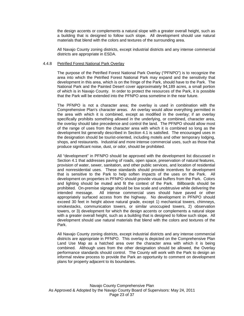the design accents or complements a natural slope with a greater overall height, such as a building that is designed to follow such slope. All development should use natural materials that blend with the colors and textures of the surrounding area.

All Navajo County zoning districts, except industrial districts and any intense commercial districts are appropriate in ESDA.

#### 4.4.8 Petrified Forest National Park Overlay

The purpose of the Petrified Forest National Park Overlay ("PFNPO") is to recognize the area into which the Petrified Forest National Park may expand and the sensitivity that development in this area, which is on the fringe of the Park, should have to the Park. The National Park and the Painted Desert cover approximately 94,189 acres, a small portion of which is in Navajo County. In order to protect the resources of the Park, it is possible that the Park will be extended into the PFNPO area sometime in the near future.

The PFNPO is not a character area; the overlay is used in combination with the Comprehensive Plan's character areas. An overlay would allow everything permitted in the area with which it is combined, except as modified in the overlay; if an overlay specifically prohibits something allowed in the underlying, or combined, character area, the overlay should take precedence and control the land. The PFNPO should allow most of the range of uses from the character area with which it is combined so long as the development list generally described in Section 4.1 is satisfied. The encouraged uses in the designation should be tourist-oriented, including motels and other temporary lodging, shops, and restaurants. Industrial and more intense commercial uses, such as those that produce significant noise, dust, or odor, should be prohibited.

All "development" in PFNPO should be approved with the development list discussed in Section 4.1 that addresses paving of roads, open space, preservation of natural features, provision of water, sewer, sanitation, and other public services, and location of residential and nonresidential uses. These standards should provide incentives for development that is sensitive to the Park to help soften impacts of the uses on the Park. All development on properties in PFNPO should provide visual buffers from the Park. Colors and lighting should be muted and fit the context of the Park. Billboards should be prohibited. On-premise signage should be low scale and unobtrusive while delivering the intended message. All intense commercial uses should have paved or other appropriately surfaced access from the highway. No development in PFNPO should exceed 30 feet in height above natural grade, except 1) mechanical towers, chimneys, smokestacks, communication towers, or similar unoccupied towers, 2) observation towers, or 3) development for which the design accents or complements a natural slope with a greater overall height, such as a building that is designed to follow such slope. All development should use natural materials that blend with the colors and textures of the Park.

All Navajo County zoning districts, except industrial districts and any intense commercial districts are appropriate in PFNPO. This overlay is depicted on the Comprehensive Plan Land Use Map as a hatched area over the character area with which it is being combined. Although uses from the other designation should be allowed, the Overlay performance standards should control. The County will work with the Park to design an informal review process to provide the Park an opportunity to comment on development plans for property adjacent to its boundaries.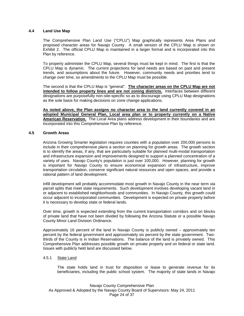#### **4.4 Land Use Map**

The Comprehensive Plan Land Use ("CPLU") Map graphically represents Area Plans and proposed character areas for Navajo County. A small version of the CPLU Map is shown on Exhibit 2. The official CPLU Map is maintained in a larger format and is incorporated into this Plan by reference.

To properly administer the CPLU Map, several things must be kept in mind. The first is that the CPLU Map is dynamic. The current projections for land needs are based on past and present trends, and assumptions about the future. However, community needs and priorities tend to change over time, so amendments to the CPLU Map must be possible.

The second is that the CPLU Map is "general". **The character areas on the CPLU Map are not intended to follow property lines and are not zoning districts.** Interfaces between different designations are purposefully non-site-specific so as to discourage using CPLU Map designations as the sole basis for making decisions on zone change applications.

**As noted above, the Plan assigns no character area to the land currently covered in an adopted Municipal General Plan, Local area plan or to property currently on a Native American Reservation.** The Local Area plans address development in their boundaries and are incorporated into this Comprehensive Plan by reference.

#### **4.5 Growth Areas**

Arizona Growing Smarter legislation requires counties with a population over 200,000 persons to include in their comprehensive plans a section on planning for growth areas. The growth section is to identify the areas, if any, that are particularly suitable for planned multi-modal transportation and infrastructure expansion and improvements designed to support a planned concentration of a variety of uses. Navajo County's population is just over 100,000. However, planning for growth is important for Navajo County to ensure economical expansion of infrastructure, improve transportation circulation, conserve significant natural resources and open spaces, and provide a rational pattern of land development.

Infill development will probably accommodate most growth in Navajo County in the near term via parcel splits that meet state requirements. Such development involves developing vacant land in or adjacent to established neighborhoods and communities. In Navajo County, this growth could occur adjacent to incorporated communities. Development is expected on private property before it is necessary to develop state or federal lands.

Over time, growth is expected extending from the current transportation corridors and on blocks of private land that have not been divided by following the Arizona Statute or a possible Navajo County Minor Land Division Ordinance.

Approximately 16 percent of the land in Navajo County is publicly owned – approximately ten percent by the federal government and approximately six percent by the state government. Twothirds of the County is in Indian Reservations. The balance of the land is privately owned. This Comprehensive Plan addresses possible growth on private property and on federal or state land. Issues with publicly held land are discussed below.

#### 4.5.1 State Land

The state holds land in trust for disposition or lease to generate revenue for its beneficiaries, including the public school system. The majority of state lands in Navajo

Navajo County Comprehensive Plan As Approved & Adopted by the Navajo County Board of Supervisors: May 24, 2011 Page 24 of 37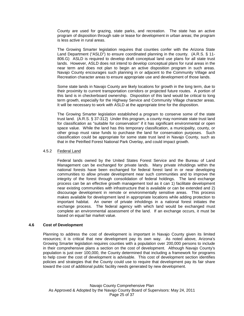County are used for grazing, state parks, and recreation. The state has an active program of disposition through sale or lease for development in urban areas; the program is less active in rural areas.

The Growing Smarter legislation requires that counties confer with the Arizona State Land Department ("ASLD") to ensure coordinated planning in the county. (A.R.S. § 11- 806.G) ASLD is required to develop draft conceptual land use plans for all state trust lands. However, ASLD does not intend to develop conceptual plans for rural areas in the near term and does not plan to begin an active disposition program in such areas. Navajo County encourages such planning in or adjacent to the Community Village and Recreation character areas to ensure appropriate use and development of those lands.

Some state lands in Navajo County are likely locations for growth in the long term, due to their proximity to current transportation corridors or projected future routes. A portion of this land is in checkerboard ownership. Disposition of this land would be critical to long term growth, especially for the Highway Service and Community Village character areas. It will be necessary to work with ASLD at the appropriate time for the disposition.

The Growing Smarter legislation established a program to conserve some of the state trust land. (A.R.S. § 37-312) Under this program, a county may nominate state trust land for classification as "suitable for conservation" if it has significant environmental or open space value. While the land has this temporary classification, a municipality, county, or other group must raise funds to purchase the land for conservation purposes. Such classification could be appropriate for some state trust land in Navajo County, such as that in the Petrified Forest National Park Overlay, and could impact growth.

#### 4.5.2 Federal Land

Federal lands owned by the United States Forest Service and the Bureau of Land Management can be exchanged for private lands. Many private inholdings within the national forests have been exchanged for federal forest land in or near developing communities to allow private development near such communities and to improve the integrity of the forest through consolidation of federal holdings. The land exchange process can be an effective growth management tool as it can 1) facilitate development near existing communities with infrastructure that is available or can be extended and 2) discourage development in remote or environmentally sensitive areas. This process makes available for development land in appropriate locations while adding protection to important habitat. An owner of private inholdings in a national forest initiates the exchange process. The federal agency with which land would be exchanged must complete an environmental assessment of the land. If an exchange occurs, it must be based on equal fair market value.

#### **4.6 Cost of Development**

Planning to address the cost of development is important in Navajo County given its limited resources; it is critical that new development pay its own way. As noted above, Arizona's Growing Smarter legislation requires counties with a population over 200,000 persons to include in their comprehensive plans a section on the cost of development. Although Navajo County's population is just over 100,000, the County determined that including a framework for programs to help cover the cost of development is advisable. This cost of development section identifies policies and strategies that the County could use to require that development pay its fair share toward the cost of additional public facility needs generated by new development.

Navajo County Comprehensive Plan As Approved & Adopted by the Navajo County Board of Supervisors: May 24, 2011 Page 25 of 37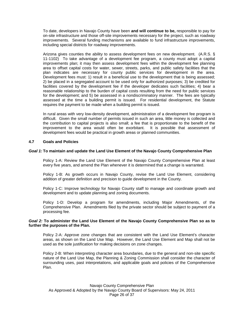To date, developers in Navajo County have been **and will continue to be,** responsible to pay for on-site infrastructure and those off-site improvements necessary for the project, such as roadway improvements. Several funding mechanisms are available to fund infrastructure improvements, including special districts for roadway improvements.

Arizona gives counties the ability to assess development fees on new development. (A.R.S. § 11-1102) To take advantage of a development fee program, a county must adopt a capital improvements plan; it may then assess development fees within the development fee planning area to offset capital costs for water, sewer, streets, parks, and public safety facilities that the plan indicates are necessary for county public services for development in the area. Development fees must: 1) result in a beneficial use to the development that is being assessed; 2) be placed in a segregated account to be used only for authorized purposes; 3) be credited for facilities covered by the development fee if the developer dedicates such facilities; 4) bear a reasonable relationship to the burden of capital costs resulting from the need for public services for the development; and 5) be assessed in a nondiscriminatory manner. The fees are typically assessed at the time a building permit is issued. For residential development, the Statute requires the payment to be made when a building permit is issued.

In rural areas with very low-density development, administration of a development fee program is difficult. Given the small number of permits issued in such an area, little money is collected and the contribution to capital projects is also small; a fee that is proportionate to the benefit of the improvement to the area would often be exorbitant. It is possible that assessment of development fees would be practical in growth areas or planned communities.

#### **4.7 Goals and Policies**

#### *Goal 1:* **To maintain and update the Land Use Element of the Navajo County Comprehensive Plan**

Policy 1-A: Review the Land Use Element of the Navajo County Comprehensive Plan at least every five years, and amend the Plan whenever it is determined that a change is warranted.

Policy 1-B: As growth occurs in Navajo County, revise the Land Use Element, considering addition of greater definition and precision to guide development in the County.

Policy 1-C: Improve technology for Navajo County staff to manage and coordinate growth and development and to update planning and zoning documents.

Policy 1-D: Develop a program for amendments, including Major Amendments, of the Comprehensive Plan. Amendments filed by the private sector should be subject to payment of a processing fee.

#### *Goal 2:* **To administer the Land Use Element of the Navajo County Comprehensive Plan so as to further the purposes of the Plan.**

Policy 2-A: Approve zone changes that are consistent with the Land Use Element's character areas, as shown on the Land Use Map. However, the Land Use Element and Map shall not be used as the sole justification for making decisions on zone changes.

Policy 2-B: When interpreting character area boundaries, due to the general and non-site specific nature of the Land Use Map, the Planning & Zoning Commission shall consider the character of surrounding uses, past interpretations, and applicable goals and policies of the Comprehensive Plan.

Navajo County Comprehensive Plan As Approved & Adopted by the Navajo County Board of Supervisors: May 24, 2011 Page 26 of 37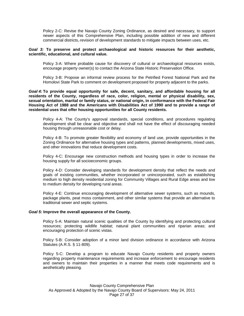Policy 2-C: Revise the Navajo County Zoning Ordinance, as desired and necessary, to support newer aspects of this Comprehensive Plan, including possible addition of new and different commercial districts, revision of development standards to mitigate impacts between uses, etc.

#### *Goal 3:* **To preserve and protect archaeological and historic resources for their aesthetic, scientific, educational, and cultural value.**

Policy 3-A: Where probable cause for discovery of cultural or archaeological resources exists, encourage property owner(s) to contact the Arizona State Historic Preservation Office.

Policy 3-B: Propose an informal review process for the Petrified Forest National Park and the Homolovi State Park to comment on development proposed for property adjacent to the parks.

*Goal 4:* **To provide equal opportunity for safe, decent, sanitary, and affordable housing for all residents of the County, regardless of race, color, religion, mental or physical disability, sex, sexual orientation, marital or family status, or national origin, in conformance with the Federal Fair Housing Act of 1988 and the Americans with Disabilities Act of 1990 and to provide a range of residential uses that offer housing opportunities for all County residents.**

Policy 4-A: The County's approval standards, special conditions, and procedures regulating development shall be clear and objective and shall not have the effect of discouraging needed housing through unreasonable cost or delay.

Policy 4-B: To promote greater flexibility and economy of land use, provide opportunities in the Zoning Ordinance for alternative housing types and patterns, planned developments, mixed uses, and other innovations that reduce development costs.

Policy 4-C: Encourage new construction methods and housing types in order to increase the housing supply for all socioeconomic groups.

Policy 4-D: Consider developing standards for development density that reflect the needs and goals of existing communities, whether incorporated or unincorporated, such as establishing medium to high density residential zoning for Community Villages and Rural Edge areas and low to medium density for developing rural areas.

Policy 4-E: Continue encouraging development of alternative sewer systems, such as mounds, package plants, peat moss containment, and other similar systems that provide an alternative to traditional sewer and septic systems.

#### *Goal 5:* **Improve the overall appearance of the County.**

Policy 5-A: Maintain natural scenic qualities of the County by identifying and protecting cultural resources; protecting wildlife habitat; natural plant communities and riparian areas; and encouraging protection of scenic vistas.

Policy 5-B: Consider adoption of a minor land division ordinance in accordance with Arizona Statutes (A.R.S. § 11-809).

Policy 5-C: Develop a program to educate Navajo County residents and property owners regarding property maintenance requirements and increase enforcement to encourage residents and owners to maintain their properties in a manner that meets code requirements and is aesthetically pleasing.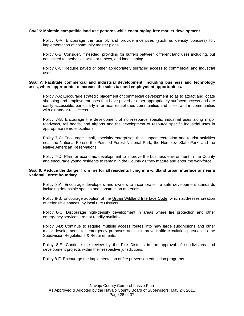#### *Goal 6:* **Maintain compatible land use patterns while encouraging free market development.**

Policy 6-A: Encourage the use of, and provide incentives (such as density bonuses) for, implementation of community master plans.

Policy 6-B: Consider, if needed, providing for buffers between different land uses including, but not limited to, setbacks, walls or fences, and landscaping.

Policy 6-C: Require paved or other appropriately surfaced access to commercial and industrial uses.

#### *Goal 7:* **Facilitate commercial and industrial development, including business and technology uses, where appropriate to increase the sales tax and employment opportunities.**

Policy 7-A: Encourage strategic placement of commercial development so as to attract and locate shopping and employment uses that have paved or other appropriately surfaced access and are easily accessible, particularly in or near established communities and cities, and in communities with air and/or rail access.

Policy 7-B: Encourage the development of non-resource specific industrial uses along major roadways, rail heads, and airports and the development of resource specific industrial uses in appropriate remote locations.

Policy 7-C: Encourage small, specialty enterprises that support recreation and tourist activities near the National Forest, the Petrified Forest National Park, the Homolovi State Park, and the Native American Reservations.

Policy 7-D: Plan for economic development to improve the business environment in the County and encourage young residents to remain in the County as they mature and enter the workforce.

#### *Goal 8:* **Reduce the danger from fire for all residents living in a wildland urban interface or near a National Forest boundary.**

Policy 8-A: Encourage developers and owners to incorporate fire safe development standards including defensible spaces and construction materials.

Policy 8-B: Encourage adoption of the Urban Wildland Interface Code, which addresses creation of defensible spaces, by local Fire Districts.

Policy 8-C: Discourage high-density development in areas where fire protection and other emergency services are not readily available.

Policy 8-D: Continue to require multiple access routes into new large subdivisions and other major developments for emergency purposes and to improve traffic circulation pursuant to the Subdivision Regulations & Requirements.

Policy 8-E: Continue the review by the Fire Districts in the approval of subdivisions and development projects within their respective jurisdictions.

Policy 8-F: Encourage the implementation of fire prevention education programs.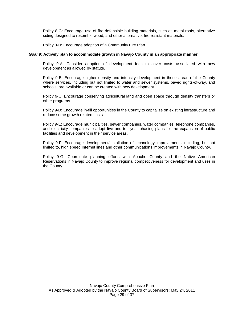Policy 8-G: Encourage use of fire defensible building materials, such as metal roofs, alternative siding designed to resemble wood, and other alternative, fire-resistant materials.

Policy 8-H: Encourage adoption of a Community Fire Plan.

#### *Goal 9:* **Actively plan to accommodate growth in Navajo County in an appropriate manner.**

Policy 9-A: Consider adoption of development fees to cover costs associated with new development as allowed by statute.

Policy 9-B: Encourage higher density and intensity development in those areas of the County where services, including but not limited to water and sewer systems, paved rights-of-way, and schools, are available or can be created with new development.

Policy 9-C: Encourage conserving agricultural land and open space through density transfers or other programs.

Policy 9-D: Encourage in-fill opportunities in the County to capitalize on existing infrastructure and reduce some growth related costs.

Policy 9-E: Encourage municipalities, sewer companies, water companies, telephone companies, and electricity companies to adopt five and ten year phasing plans for the expansion of public facilities and development in their service areas.

Policy 9-F: Encourage development/installation of technology improvements including, but not limited to, high speed Internet lines and other communications improvements in Navajo County.

Policy 9-G: Coordinate planning efforts with Apache County and the Native American Reservations in Navajo County to improve regional competitiveness for development and uses in the County.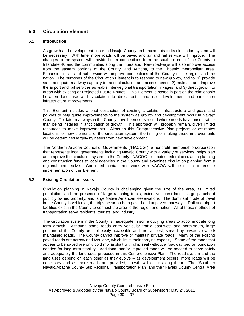# **5.0 Circulation Element**

#### **5.1 Introduction**

As growth and development occur in Navajo County, enhancements to its circulation system will be necessary. With time, more roads will be paved and air and rail service will improve. The changes to the system will provide better connections from the southern end of the County to Interstate 40 and the communities along the Interstate. New roadways will also improve access from the eastern portions of the County, and Arizona, to the Phoenix metropolitan area. Expansion of air and rail service will improve connections of the County to the region and the nation. The purposes of the Circulation Element is to respond to new growth, and to: 1) provide safe, adequate roadway capacity to meet circulation and access needs; 2) maintain and improve the airport and rail services as viable inter-regional transportation linkages; and 3) direct growth to areas with existing or Projected Future Routes. This Element is based in part on the relationship between land use and circulation to direct both land use development and circulation infrastructure improvements.

This Element includes a brief description of existing circulation infrastructure and goals and policies to help guide improvements to the system as growth and development occur in Navajo County. To date, roadways in the County have been constructed where needs have arisen rather than being installed in anticipation of growth. This approach will probably remain, given limited resources to make improvements. Although this Comprehensive Plan projects or estimates locations for new elements of the circulation system, the timing of making these improvements will be determined largely by needs from new development.

The Northern Arizona Council of Governments ("NACOG"), a nonprofit membership corporation that represents local governments including Navajo County with a variety of services, helps plan and improve the circulation system in the County. NACOG distributes federal circulation planning and construction funds to local agencies in the County and examines circulation planning from a regional perspective. Continued contact and work with NACOG will be critical to ensure implementation of this Element.

#### **5.2 Existing Circulation Issues**

Circulation planning in Navajo County is challenging given the size of the area, its limited population, and the presence of large ranching tracts, extensive forest lands, large parcels of publicly owned property, and large Native American Reservations. The dominant mode of travel in the County is vehicular; the trips occur on both paved and unpaved roadways. Rail and airport facilities exist in the County to connect the area to the region and nation. All of these methods of transportation serve residents, tourists, and industry.

The circulation system in the County is inadequate in some outlying areas to accommodate long term growth. Although some roads carry vehicular traffic east-west and north-south, large portions of the County are not easily accessible and are, at best, served by privately owned/ maintained roads. The County cannot improve or maintain private roads. Many of the existing paved roads are narrow and two-lane, which limits their carrying capacity. Some of the roads that appear to be paved are only cold mix asphalt with chip seal without a roadway bed or foundation needed for long term stability. Additional and/or improved roads will be needed to serve safely and adequately the land uses proposed in this Comprehensive Plan. The road system and the land uses depend on each other as they evolve – as development occurs, more roads will be necessary and as more roads are provided, growth will occur along them. The "Southern Navajo/Apache County Sub Regional Transportation Plan" and the "Navajo County Central Area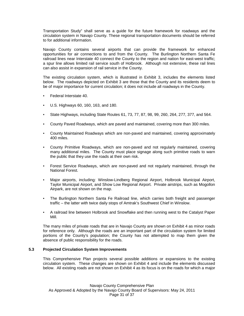Transportation Study" shall serve as a guide for the future framework for roadways and the circulation system in Navajo County. These regional transportation documents should be referred to for additional information.

Navajo County contains several airports that can provide the framework for enhanced opportunities for air connections to and from the County. The Burlington Northern Santa Fe railroad lines near Interstate 40 connect the County to the region and nation for east-west traffic; a spur line allows limited rail service south of Holbrook. Although not extensive, these rail lines can also assist in expansion of rail service in the County.

The existing circulation system, which is illustrated in Exhibit 3, includes the elements listed below. The roadways depicted on Exhibit 3 are those that the County and its residents deem to be of major importance for current circulation; it does not include all roadways in the County.

- Federal Interstate 40.
- U.S. Highways 60, 160, 163, and 180.
- State Highways, including State Routes 61, 73, 77, 87, 98, 99, 260, 264, 277, 377, and 564.
- County Paved Roadways, which are paved and maintained, covering more than 300 miles.
- County Maintained Roadways which are non-paved and maintained, covering approximately 400 miles.
- County Primitive Roadways, which are non-paved and not regularly maintained, covering many additional miles. The County must place signage along such primitive roads to warn the public that they use the roads at their own risk.
- Forest Service Roadways, which are non-paved and not regularly maintained, through the National Forest.
- Major airports, including: Winslow-Lindberg Regional Airport, Holbrook Municipal Airport, Taylor Municipal Airport, and Show Low Regional Airport. Private airstrips, such as Mogollon Airpark, are not shown on the map.
- The Burlington Northern Santa Fe Railroad line, which carries both freight and passenger traffic – the latter with twice daily stops of Amtrak's Southwest Chief in Winslow.
- A railroad line between Holbrook and Snowflake and then running west to the Catalyst Paper Mill.

The many miles of private roads that are in Navajo County are shown on Exhibit 4 as minor roads for reference only. Although the roads are an important part of the circulation system for limited portions of the County's population; the County has not attempted to map them given the absence of public responsibility for the roads.

#### **5.3 Projected Circulation System Improvements**

This Comprehensive Plan projects several possible additions or expansions to the existing circulation system. These changes are shown on Exhibit 4 and include the elements discussed below. All existing roads are not shown on Exhibit 4 as its focus is on the roads for which a major

Navajo County Comprehensive Plan As Approved & Adopted by the Navajo County Board of Supervisors: May 24, 2011 Page 31 of 37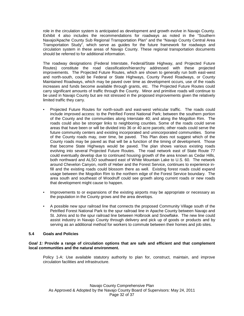role in the circulation system is anticipated as development and growth evolve in Navajo County. Exhibit 4 also includes the recommendations for roadways as noted in the "Southern Navajo/Apache County Sub Regional Transportation Plan" and the "Navajo County Central Area Transportation Study", which serve as guides for the future framework for roadways and circulation system in these areas of Navajo County. These regional transportation documents should be referred to for additional information.

The roadway designations (Federal Interstate, Federal/State Highway, and Projected Future Routes) constitute the road classification/hierarchy addressed with these projected improvements. The Projected Future Routes, which are shown to generally run both east-west and north-south, could be Federal or State Highways, County Paved Roadways, or County Maintained Roadways, which may be paved over time as development occurs, use of the roads increases and funds become available through grants, etc. The Projected Future Routes could carry significant amounts of traffic through the County. Minor and primitive roads will continue to be used in Navajo County but are not stressed in the proposed improvements given the relatively limited traffic they carry.

- Projected Future Routes for north-south and east-west vehicular traffic. The roads could include improved access: to the Petrified Forest National Park; between the southern portion of the County and the communities along Interstate 40; and along the Mogollon Rim. The roads could also be stronger links to neighboring counties. Some of the roads could serve areas that have been or will be divided into 36 or 40 acre parcels; other roads could serve the future community centers and existing incorporated and unincorporated communities. Some of the County roads may, over time, be paved. This Plan does not suggest which of the County roads may be paved as that will be a function of the timing of development. Those that become State Highways would be paved. The plan shows various existing roads evolving into several Projected Future Routes. The road network east of State Route 77 could eventually develop due to continued housing growth of the area known as Cedar Hills, both northward and ALSO southward east of White Mountain Lake to U.S. 60. The network around Chevelon Canyon, north of Heber and the Forest Service, continues to experience infill and the existing roads could blossom there as well. Existing forest roads could expand usage between the Mogollon Rim to the northern edge of the Forest Service boundary. The area south and southeast of Woodruff could see growth along current roads or new roads that development might cause to happen.
- Improvements to or expansions of the existing airports may be appropriate or necessary as the population in the County grows and the area develops.
- A possible new spur railroad line that connects the proposed Community Village south of the Petrified Forest National Park to the spur railroad line in Apache County between Navajo and St. Johns and to the spur railroad line between Holbrook and Snowflake. The new line could assist industry in Navajo County through delivery and pick up of goods or products and by serving as an additional method for workers to commute between their homes and job sites.

#### **5.4 Goals and Policies**

#### *Goal 1:* **Provide a range of circulation options that are safe and efficient and that complement local communities and the natural environment.**

Policy 1-A: Use available statutory authority to plan for, construct, maintain, and improve circulation facilities and infrastructure.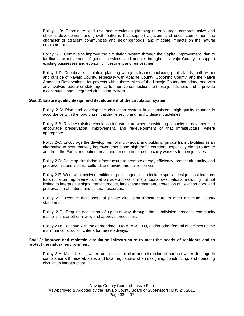Policy 1-B: Coordinate land use and circulation planning to encourage comprehensive and efficient development and growth patterns that support adjacent land uses, complement the character of adjacent communities and neighborhoods, and mitigate impacts on the natural environment.

Policy 1-C: Continue to improve the circulation system through the Capital Improvement Plan to facilitate the movement of goods, services, and people throughout Navajo County to support existing businesses and economic investment and reinvestment.

Policy 1-D: Coordinate circulation planning with jurisdictions, including public lands, both within and outside of Navajo County, especially with Apache County, Coconino County, and the Native American Reservations, for projects within three miles of the Navajo County boundary, and with any involved federal or state agency to improve connections to those jurisdictions and to provide a continuous and integrated circulation system.

#### *Goal 2:* **Ensure quality design and development of the circulation system.**

Policy 2-A: Plan and develop the circulation system in a consistent, high-quality manner in accordance with the road classification/hierarchy and facility design guidelines.

Policy 2-B: Review existing circulation infrastructure when considering capacity improvements to encourage preservation, improvement, and redevelopment of that infrastructure, where appropriate.

Policy 2-C: Encourage the development of multi-modal and public or private transit facilities as an alternative to new roadway improvements along high-traffic corridors, especially along routes to and from the Forest recreation areas and for commuter use to carry workers to their job sites.

Policy 2-D: Develop circulation infrastructure to promote energy efficiency, protect air quality, and preserve historic, scenic, cultural, and environmental resources.

Policy 2-E: Work with involved entities or public agencies to include special design considerations for circulation improvements that provide access to major tourist destinations, including but not limited to interpretive signs, traffic turnouts, landscape treatment, protection of view corridors, and preservation of natural and cultural resources.

Policy 2-F: Require developers of private circulation infrastructure to meet minimum County standards.

Policy 2-G: Require dedication of rights-of-way through the subdivision process, community master plan, or other review and approval processes.

Policy 2-H: Continue with the appropriate FHWA, AASHTO, and/or other federal guidelines as the minimum construction criteria for new roadways.

#### *Goal 3:* **Improve and maintain circulation infrastructure to meet the needs of residents and to protect the natural environment.**

Policy 3-A: Minimize air, water, and noise pollution and disruption of surface water drainage in compliance with federal, state, and local regulations when designing, constructing, and operating circulation infrastructure.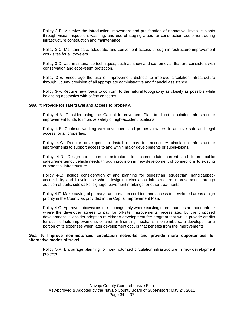Policy 3-B: Minimize the introduction, movement and proliferation of nonnative, invasive plants through visual inspection, washing, and use of staging areas for construction equipment during infrastructure construction and maintenance.

Policy 3-C: Maintain safe, adequate, and convenient access through infrastructure improvement work sites for all travelers.

Policy 3-D: Use maintenance techniques, such as snow and ice removal, that are consistent with conservation and ecosystem protection.

Policy 3-E: Encourage the use of improvement districts to improve circulation infrastructure through County provision of all appropriate administrative and financial assistance.

Policy 3-F: Require new roads to conform to the natural topography as closely as possible while balancing aesthetics with safety concerns.

#### *Goal 4:* **Provide for safe travel and access to property.**

Policy 4-A: Consider using the Capital Improvement Plan to direct circulation infrastructure improvement funds to improve safety of high-accident locations.

Policy 4-B: Continue working with developers and property owners to achieve safe and legal access for all properties.

Policy 4-C: Require developers to install or pay for necessary circulation infrastructure improvements to support access to and within major developments or subdivisions.

Policy 4-D: Design circulation infrastructure to accommodate current and future public safety/emergency vehicle needs through provision in new development of connections to existing or potential infrastructure.

Policy 4-E: Include consideration of and planning for pedestrian, equestrian, handicappedaccessibility and bicycle use when designing circulation infrastructure improvements through addition of trails, sidewalks, signage, pavement markings, or other treatments.

Policy 4-F: Make paving of primary transportation corridors and access to developed areas a high priority in the County as provided in the Capital Improvement Plan.

Policy 4-G: Approve subdivisions or rezonings only where existing street facilities are adequate or where the developer agrees to pay for off-site improvements necessitated by the proposed development. Consider adoption of either a development fee program that would provide credits for such off-site improvements or another financing mechanism to reimburse a developer for a portion of its expenses when later development occurs that benefits from the improvements.

#### *Goal 5:* **Improve non-motorized circulation networks and provide more opportunities for alternative modes of travel.**

Policy 5-A: Encourage planning for non-motorized circulation infrastructure in new development projects.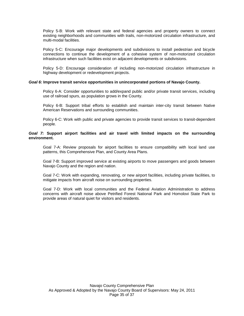Policy 5-B: Work with relevant state and federal agencies and property owners to connect existing neighborhoods and communities with trails, non-motorized circulation infrastructure, and multi-modal facilities.

Policy 5-C: Encourage major developments and subdivisions to install pedestrian and bicycle connections to continue the development of a cohesive system of non-motorized circulation infrastructure when such facilities exist on adjacent developments or subdivisions.

Policy 5-D: Encourage consideration of including non-motorized circulation infrastructure in highway development or redevelopment projects.

#### *Goal 6:* **Improve transit service opportunities in unincorporated portions of Navajo County.**

Policy 6-A: Consider opportunities to add/expand public and/or private transit services, including use of railroad spurs, as population grows in the County.

Policy 6-B: Support tribal efforts to establish and maintain inter-city transit between Native American Reservations and surrounding communities.

Policy 6-C: Work with public and private agencies to provide transit services to transit-dependent people.

#### *Goal 7:* **Support airport facilities and air travel with limited impacts on the surrounding environment.**

Goal 7-A: Review proposals for airport facilities to ensure compatibility with local land use patterns, this Comprehensive Plan, and County Area Plans.

Goal 7-B: Support improved service at existing airports to move passengers and goods between Navajo County and the region and nation.

Goal 7-C: Work with expanding, renovating, or new airport facilities, including private facilities, to mitigate impacts from aircraft noise on surrounding properties.

Goal 7-D: Work with local communities and the Federal Aviation Administration to address concerns with aircraft noise above Petrified Forest National Park and Homolovi State Park to provide areas of natural quiet for visitors and residents.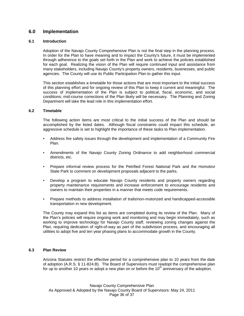# **6.0 Implementation**

#### **6.1 Introduction**

Adoption of the Navajo County Comprehensive Plan is not the final step in the planning process. In order for the Plan to have meaning and to impact the County's future, it must be implemented through adherence to the goals set forth in the Plan and work to achieve the policies established for each goal. Realizing the vision of the Plan will require continued input and assistance from many stakeholders, including Navajo County's property owners, residents, businesses, and public agencies. The County will use its Public Participation Plan to gather this input.

This section establishes a timetable for those actions that are most important to the initial success of this planning effort and for ongoing review of this Plan to keep it current and meaningful. The success of implementation of the Plan is subject to political, fiscal, economic, and social conditions; mid-course corrections of the Plan likely will be necessary. The Planning and Zoning Department will take the lead role in this implementation effort.

#### **6.2 Timetable**

The following action items are most critical to the initial success of the Plan and should be accomplished by the listed dates. Although fiscal constraints could impact this schedule, an aggressive schedule is set to highlight the importance of these tasks to Plan implementation.

- Address fire safety issues through the development and implementation of a Community Fire Plan.
- Amendments of the Navajo County Zoning Ordinance to add neighborhood commercial districts, etc.
- Prepare informal review process for the Petrified Forest National Park and the Homolovi State Park to comment on development proposals adjacent to the parks.
- Develop a program to educate Navajo County residents and property owners regarding property maintenance requirements and increase enforcement to encourage residents and owners to maintain their properties in a manner that meets code requirements.
- Prepare methods to address installation of trails/non-motorized and handicapped-accessible transportation in new development.

The County may expand this list as items are completed during its review of the Plan. Many of the Plan's policies will require ongoing work and monitoring and may begin immediately, such as working to improve technology for Navajo County staff, reviewing zoning changes against the Plan, requiring dedication of right-of-way as part of the subdivision process, and encouraging all utilities to adopt five and ten year phasing plans to accommodate growth in the County.

#### **6.3 Plan Review**

Arizona Statutes restrict the effective period for a comprehensive plan to 10 years from the date of adoption (A.R.S. § 11-824.B). The Board of Supervisors must readopt the comprehensive plan for up to another 10 years or adopt a new plan on or before the  $10<sup>th</sup>$  anniversary of the adoption.

Navajo County Comprehensive Plan As Approved & Adopted by the Navajo County Board of Supervisors: May 24, 2011 Page 36 of 37